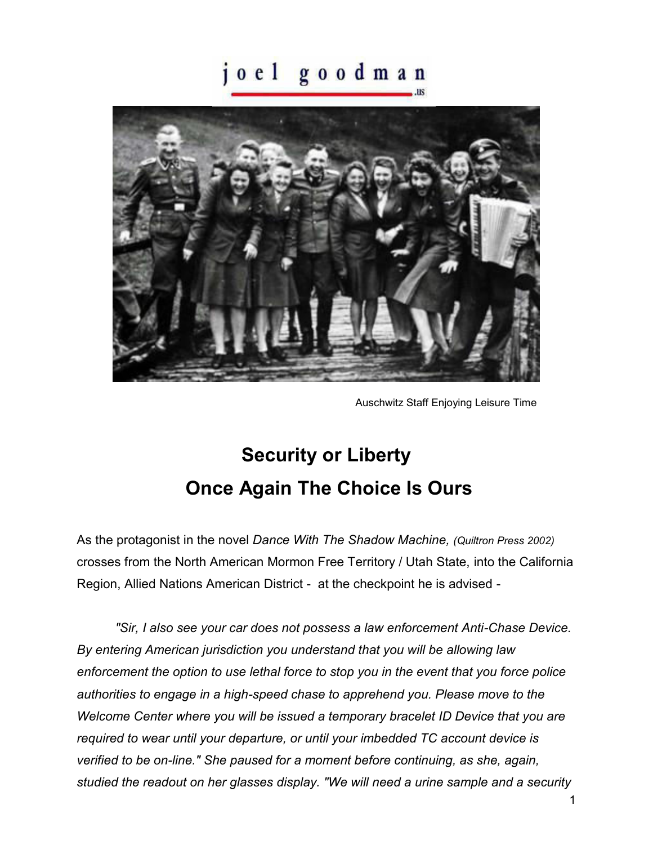## joel goodman



Auschwitz Staff Enjoying Leisure Time

## **Security or Liberty Once Again The Choice Is Ours**

As the protagonist in the novel *Dance With The Shadow Machine, (Quiltron Press 2002)* crosses from the North American Mormon Free Territory / Utah State, into the California Region, Allied Nations American District - at the checkpoint he is advised -

*"Sir, I also see your car does not possess a law enforcement Anti-Chase Device. By entering American jurisdiction you understand that you will be allowing law enforcement the option to use lethal force to stop you in the event that you force police authorities to engage in a high-speed chase to apprehend you. Please move to the Welcome Center where you will be issued a temporary bracelet ID Device that you are required to wear until your departure, or until your imbedded TC account device is verified to be on-line." She paused for a moment before continuing, as she, again, studied the readout on her glasses display. "We will need a urine sample and a security*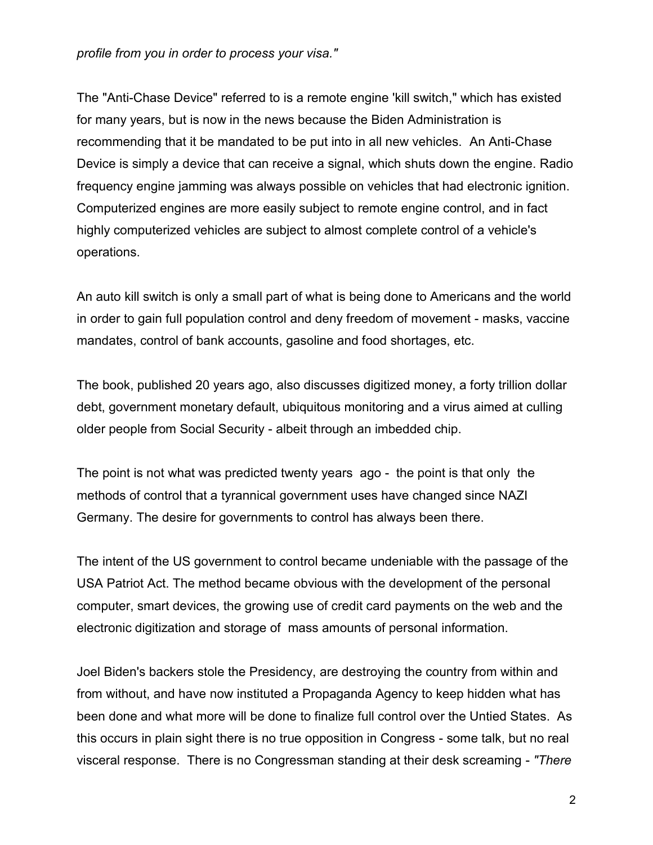*profile from you in order to process your visa."* 

The "Anti-Chase Device" referred to is a remote engine 'kill switch," which has existed for many years, but is now in the news because the Biden Administration is recommending that it be mandated to be put into in all new vehicles. An Anti-Chase Device is simply a device that can receive a signal, which shuts down the engine. Radio frequency engine jamming was always possible on vehicles that had electronic ignition. Computerized engines are more easily subject to remote engine control, and in fact highly computerized vehicles are subject to almost complete control of a vehicle's operations.

An auto kill switch is only a small part of what is being done to Americans and the world in order to gain full population control and deny freedom of movement - masks, vaccine mandates, control of bank accounts, gasoline and food shortages, etc.

The book, published 20 years ago, also discusses digitized money, a forty trillion dollar debt, government monetary default, ubiquitous monitoring and a virus aimed at culling older people from Social Security - albeit through an imbedded chip.

The point is not what was predicted twenty years ago - the point is that only the methods of control that a tyrannical government uses have changed since NAZI Germany. The desire for governments to control has always been there.

The intent of the US government to control became undeniable with the passage of the USA Patriot Act. The method became obvious with the development of the personal computer, smart devices, the growing use of credit card payments on the web and the electronic digitization and storage of mass amounts of personal information.

Joel Biden's backers stole the Presidency, are destroying the country from within and from without, and have now instituted a Propaganda Agency to keep hidden what has been done and what more will be done to finalize full control over the Untied States. As this occurs in plain sight there is no true opposition in Congress - some talk, but no real visceral response. There is no Congressman standing at their desk screaming - *"There*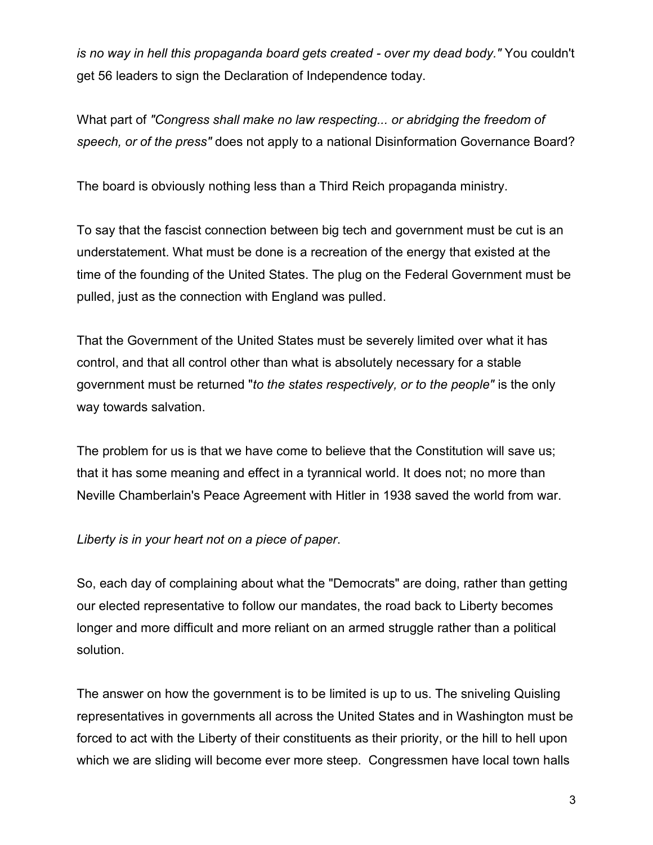*is no way in hell this propaganda board gets created - over my dead body."* You couldn't get 56 leaders to sign the Declaration of Independence today.

What part of *"Congress shall make no law respecting... or abridging the freedom of speech, or of the press"* does not apply to a national Disinformation Governance Board?

The board is obviously nothing less than a Third Reich propaganda ministry.

To say that the fascist connection between big tech and government must be cut is an understatement. What must be done is a recreation of the energy that existed at the time of the founding of the United States. The plug on the Federal Government must be pulled, just as the connection with England was pulled.

That the Government of the United States must be severely limited over what it has control, and that all control other than what is absolutely necessary for a stable government must be returned "*to the states respectively, or to the people"* is the only way towards salvation.

The problem for us is that we have come to believe that the Constitution will save us; that it has some meaning and effect in a tyrannical world. It does not; no more than Neville Chamberlain's Peace Agreement with Hitler in 1938 saved the world from war.

## *Liberty is in your heart not on a piece of paper*.

So, each day of complaining about what the "Democrats" are doing, rather than getting our elected representative to follow our mandates, the road back to Liberty becomes longer and more difficult and more reliant on an armed struggle rather than a political solution.

The answer on how the government is to be limited is up to us. The sniveling Quisling representatives in governments all across the United States and in Washington must be forced to act with the Liberty of their constituents as their priority, or the hill to hell upon which we are sliding will become ever more steep. Congressmen have local town halls